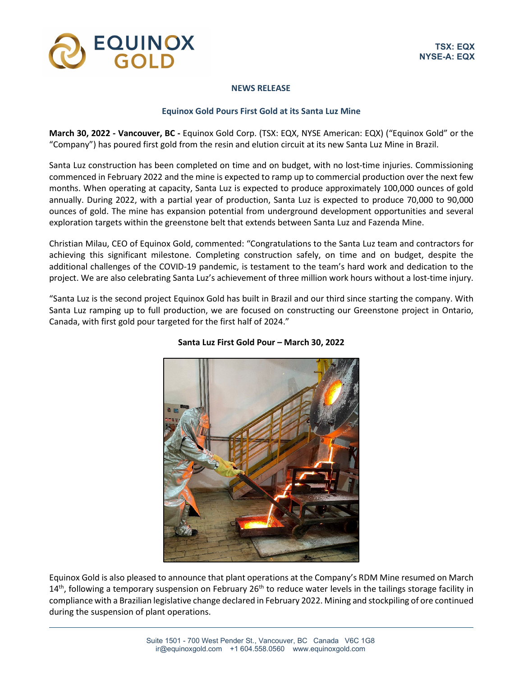

## **NEWS RELEASE**

# **Equinox Gold Pours First Gold at its Santa Luz Mine**

**March 30, 2022 - Vancouver, BC -** Equinox Gold Corp. (TSX: EQX, NYSE American: EQX) ("Equinox Gold" or the "Company") has poured first gold from the resin and elution circuit at its new Santa Luz Mine in Brazil.

Santa Luz construction has been completed on time and on budget, with no lost-time injuries. Commissioning commenced in February 2022 and the mine is expected to ramp up to commercial production over the next few months. When operating at capacity, Santa Luz is expected to produce approximately 100,000 ounces of gold annually. During 2022, with a partial year of production, Santa Luz is expected to produce 70,000 to 90,000 ounces of gold. The mine has expansion potential from underground development opportunities and several exploration targets within the greenstone belt that extends between Santa Luz and Fazenda Mine.

Christian Milau, CEO of Equinox Gold, commented: "Congratulations to the Santa Luz team and contractors for achieving this significant milestone. Completing construction safely, on time and on budget, despite the additional challenges of the COVID-19 pandemic, is testament to the team's hard work and dedication to the project. We are also celebrating Santa Luz's achievement of three million work hours without a lost-time injury.

"Santa Luz is the second project Equinox Gold has built in Brazil and our third since starting the company. With Santa Luz ramping up to full production, we are focused on constructing our Greenstone project in Ontario, Canada, with first gold pour targeted for the first half of 2024."



# **Santa Luz First Gold Pour – March 30, 2022**

Equinox Gold is also pleased to announce that plant operations at the Company's RDM Mine resumed on March  $14<sup>th</sup>$ , following a temporary suspension on February 26<sup>th</sup> to reduce water levels in the tailings storage facility in compliance with a Brazilian legislative change declared in February 2022. Mining and stockpiling of ore continued during the suspension of plant operations.